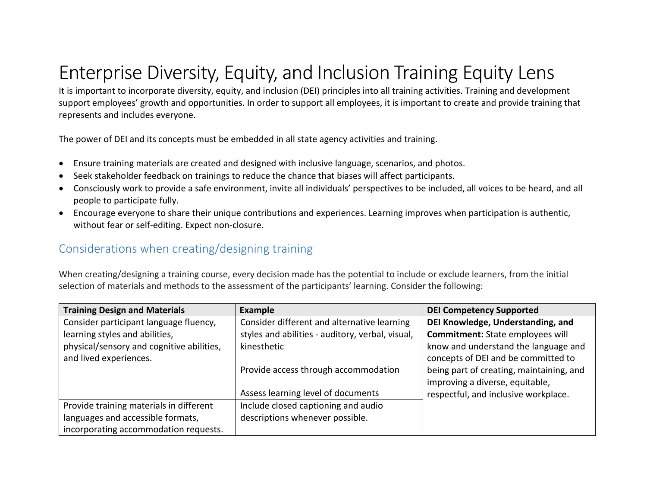## Enterprise Diversity, Equity, and Inclusion Training Equity Lens

It is important to incorporate diversity, equity, and inclusion (DEI) principles into all training activities. Training and development support employees' growth and opportunities. In order to support all employees, it is important to create and provide training that represents and includes everyone.

The power of DEI and its concepts must be embedded in all state agency activities and training.

- Ensure training materials are created and designed with inclusive language, scenarios, and photos.
- Seek stakeholder feedback on trainings to reduce the chance that biases will affect participants.
- Consciously work to provide a safe environment, invite all individuals' perspectives to be included, all voices to be heard, and all people to participate fully.
- Encourage everyone to share their unique contributions and experiences. Learning improves when participation is authentic, without fear or self-editing. Expect non-closure.

## Considerations when creating/designing training

When creating/designing a training course, every decision made has the potential to include or exclude learners, from the initial selection of materials and methods to the assessment of the participants' learning. Consider the following:

| <b>Training Design and Materials</b>      | <b>Example</b>                                   | <b>DEI Competency Supported</b>          |
|-------------------------------------------|--------------------------------------------------|------------------------------------------|
| Consider participant language fluency,    | Consider different and alternative learning      | DEI Knowledge, Understanding, and        |
| learning styles and abilities,            | styles and abilities - auditory, verbal, visual, | Commitment: State employees will         |
| physical/sensory and cognitive abilities, | kinesthetic                                      | know and understand the language and     |
| and lived experiences.                    |                                                  | concepts of DEI and be committed to      |
|                                           | Provide access through accommodation             | being part of creating, maintaining, and |
|                                           |                                                  | improving a diverse, equitable,          |
|                                           | Assess learning level of documents               | respectful, and inclusive workplace.     |
| Provide training materials in different   | Include closed captioning and audio              |                                          |
| languages and accessible formats,         | descriptions whenever possible.                  |                                          |
| incorporating accommodation requests.     |                                                  |                                          |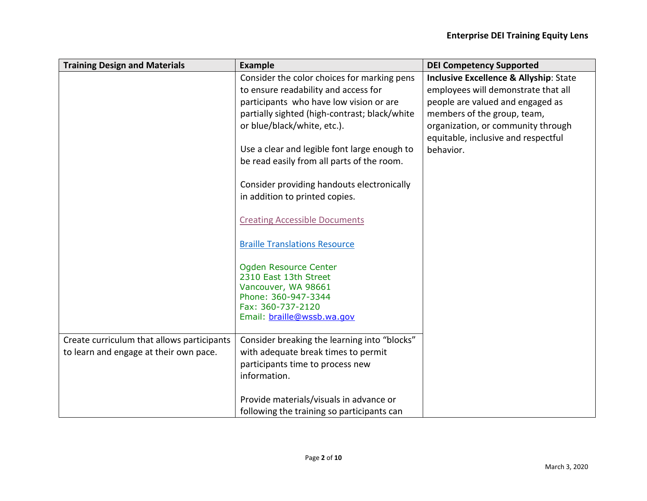| <b>Training Design and Materials</b>       | <b>Example</b>                                | <b>DEI Competency Supported</b>                   |
|--------------------------------------------|-----------------------------------------------|---------------------------------------------------|
|                                            | Consider the color choices for marking pens   | <b>Inclusive Excellence &amp; Allyship: State</b> |
|                                            | to ensure readability and access for          | employees will demonstrate that all               |
|                                            | participants who have low vision or are       | people are valued and engaged as                  |
|                                            | partially sighted (high-contrast; black/white | members of the group, team,                       |
|                                            | or blue/black/white, etc.).                   | organization, or community through                |
|                                            |                                               | equitable, inclusive and respectful               |
|                                            | Use a clear and legible font large enough to  | behavior.                                         |
|                                            | be read easily from all parts of the room.    |                                                   |
|                                            | Consider providing handouts electronically    |                                                   |
|                                            | in addition to printed copies.                |                                                   |
|                                            |                                               |                                                   |
|                                            | <b>Creating Accessible Documents</b>          |                                                   |
|                                            | <b>Braille Translations Resource</b>          |                                                   |
|                                            | Ogden Resource Center                         |                                                   |
|                                            | 2310 East 13th Street                         |                                                   |
|                                            | Vancouver, WA 98661                           |                                                   |
|                                            | Phone: 360-947-3344<br>Fax: 360-737-2120      |                                                   |
|                                            | Email: braille@wssb.wa.gov                    |                                                   |
|                                            |                                               |                                                   |
| Create curriculum that allows participants | Consider breaking the learning into "blocks"  |                                                   |
| to learn and engage at their own pace.     | with adequate break times to permit           |                                                   |
|                                            | participants time to process new              |                                                   |
|                                            | information.                                  |                                                   |
|                                            | Provide materials/visuals in advance or       |                                                   |
|                                            | following the training so participants can    |                                                   |
|                                            |                                               |                                                   |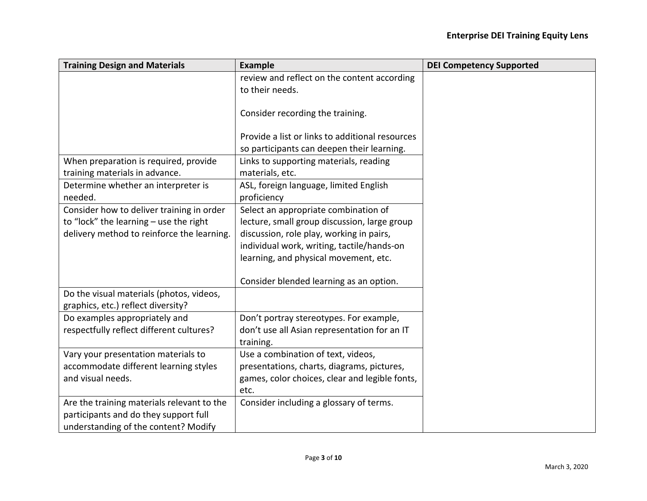| <b>Training Design and Materials</b>       | <b>Example</b>                                  | <b>DEI Competency Supported</b> |
|--------------------------------------------|-------------------------------------------------|---------------------------------|
|                                            | review and reflect on the content according     |                                 |
|                                            | to their needs.                                 |                                 |
|                                            |                                                 |                                 |
|                                            | Consider recording the training.                |                                 |
|                                            |                                                 |                                 |
|                                            | Provide a list or links to additional resources |                                 |
|                                            | so participants can deepen their learning.      |                                 |
| When preparation is required, provide      | Links to supporting materials, reading          |                                 |
| training materials in advance.             | materials, etc.                                 |                                 |
| Determine whether an interpreter is        | ASL, foreign language, limited English          |                                 |
| needed.                                    | proficiency                                     |                                 |
| Consider how to deliver training in order  | Select an appropriate combination of            |                                 |
| to "lock" the learning $-$ use the right   | lecture, small group discussion, large group    |                                 |
| delivery method to reinforce the learning. | discussion, role play, working in pairs,        |                                 |
|                                            | individual work, writing, tactile/hands-on      |                                 |
|                                            | learning, and physical movement, etc.           |                                 |
|                                            |                                                 |                                 |
|                                            | Consider blended learning as an option.         |                                 |
| Do the visual materials (photos, videos,   |                                                 |                                 |
| graphics, etc.) reflect diversity?         |                                                 |                                 |
| Do examples appropriately and              | Don't portray stereotypes. For example,         |                                 |
| respectfully reflect different cultures?   | don't use all Asian representation for an IT    |                                 |
|                                            | training.                                       |                                 |
| Vary your presentation materials to        | Use a combination of text, videos,              |                                 |
| accommodate different learning styles      | presentations, charts, diagrams, pictures,      |                                 |
| and visual needs.                          | games, color choices, clear and legible fonts,  |                                 |
|                                            | etc.                                            |                                 |
| Are the training materials relevant to the | Consider including a glossary of terms.         |                                 |
| participants and do they support full      |                                                 |                                 |
| understanding of the content? Modify       |                                                 |                                 |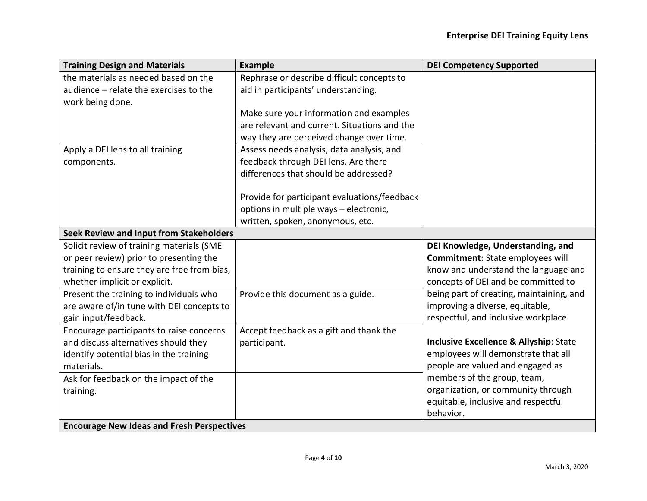| <b>Training Design and Materials</b>              | <b>Example</b>                               | <b>DEI Competency Supported</b>          |
|---------------------------------------------------|----------------------------------------------|------------------------------------------|
| the materials as needed based on the              | Rephrase or describe difficult concepts to   |                                          |
| audience - relate the exercises to the            | aid in participants' understanding.          |                                          |
| work being done.                                  |                                              |                                          |
|                                                   | Make sure your information and examples      |                                          |
|                                                   | are relevant and current. Situations and the |                                          |
|                                                   | way they are perceived change over time.     |                                          |
| Apply a DEI lens to all training                  | Assess needs analysis, data analysis, and    |                                          |
| components.                                       | feedback through DEI lens. Are there         |                                          |
|                                                   | differences that should be addressed?        |                                          |
|                                                   |                                              |                                          |
|                                                   | Provide for participant evaluations/feedback |                                          |
|                                                   | options in multiple ways - electronic,       |                                          |
|                                                   | written, spoken, anonymous, etc.             |                                          |
| Seek Review and Input from Stakeholders           |                                              |                                          |
| Solicit review of training materials (SME         |                                              | DEI Knowledge, Understanding, and        |
| or peer review) prior to presenting the           |                                              | Commitment: State employees will         |
| training to ensure they are free from bias,       |                                              | know and understand the language and     |
| whether implicit or explicit.                     |                                              | concepts of DEI and be committed to      |
| Present the training to individuals who           | Provide this document as a guide.            | being part of creating, maintaining, and |
| are aware of/in tune with DEI concepts to         |                                              | improving a diverse, equitable,          |
| gain input/feedback.                              |                                              | respectful, and inclusive workplace.     |
| Encourage participants to raise concerns          | Accept feedback as a gift and thank the      |                                          |
| and discuss alternatives should they              | participant.                                 | Inclusive Excellence & Allyship: State   |
| identify potential bias in the training           |                                              | employees will demonstrate that all      |
| materials.                                        |                                              | people are valued and engaged as         |
| Ask for feedback on the impact of the             |                                              | members of the group, team,              |
| training.                                         |                                              | organization, or community through       |
|                                                   |                                              | equitable, inclusive and respectful      |
|                                                   |                                              | behavior.                                |
| <b>Encourage New Ideas and Fresh Perspectives</b> |                                              |                                          |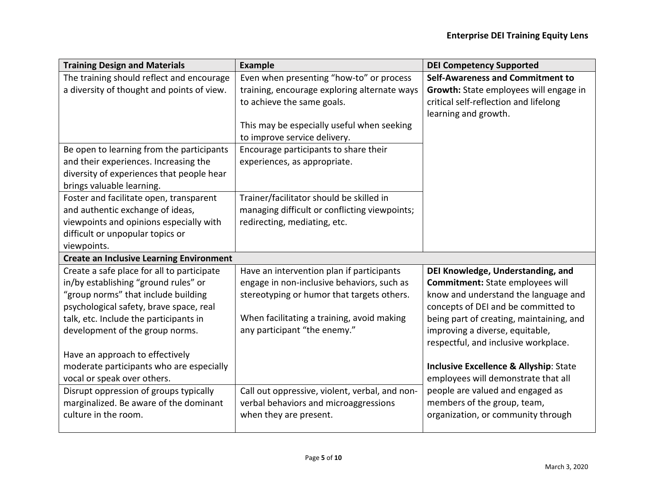| <b>Training Design and Materials</b>            | <b>Example</b>                                 | <b>DEI Competency Supported</b>          |
|-------------------------------------------------|------------------------------------------------|------------------------------------------|
| The training should reflect and encourage       | Even when presenting "how-to" or process       | <b>Self-Awareness and Commitment to</b>  |
| a diversity of thought and points of view.      | training, encourage exploring alternate ways   | Growth: State employees will engage in   |
|                                                 | to achieve the same goals.                     | critical self-reflection and lifelong    |
|                                                 |                                                | learning and growth.                     |
|                                                 | This may be especially useful when seeking     |                                          |
|                                                 | to improve service delivery.                   |                                          |
| Be open to learning from the participants       | Encourage participants to share their          |                                          |
| and their experiences. Increasing the           | experiences, as appropriate.                   |                                          |
| diversity of experiences that people hear       |                                                |                                          |
| brings valuable learning.                       |                                                |                                          |
| Foster and facilitate open, transparent         | Trainer/facilitator should be skilled in       |                                          |
| and authentic exchange of ideas,                | managing difficult or conflicting viewpoints;  |                                          |
| viewpoints and opinions especially with         | redirecting, mediating, etc.                   |                                          |
| difficult or unpopular topics or                |                                                |                                          |
| viewpoints.                                     |                                                |                                          |
| <b>Create an Inclusive Learning Environment</b> |                                                |                                          |
| Create a safe place for all to participate      | Have an intervention plan if participants      | DEI Knowledge, Understanding, and        |
| in/by establishing "ground rules" or            | engage in non-inclusive behaviors, such as     | Commitment: State employees will         |
| "group norms" that include building             | stereotyping or humor that targets others.     | know and understand the language and     |
| psychological safety, brave space, real         |                                                | concepts of DEI and be committed to      |
| talk, etc. Include the participants in          | When facilitating a training, avoid making     | being part of creating, maintaining, and |
| development of the group norms.                 | any participant "the enemy."                   | improving a diverse, equitable,          |
|                                                 |                                                | respectful, and inclusive workplace.     |
| Have an approach to effectively                 |                                                |                                          |
| moderate participants who are especially        |                                                | Inclusive Excellence & Allyship: State   |
| vocal or speak over others.                     |                                                | employees will demonstrate that all      |
| Disrupt oppression of groups typically          | Call out oppressive, violent, verbal, and non- | people are valued and engaged as         |
| marginalized. Be aware of the dominant          | verbal behaviors and microaggressions          | members of the group, team,              |
| culture in the room.                            | when they are present.                         | organization, or community through       |
|                                                 |                                                |                                          |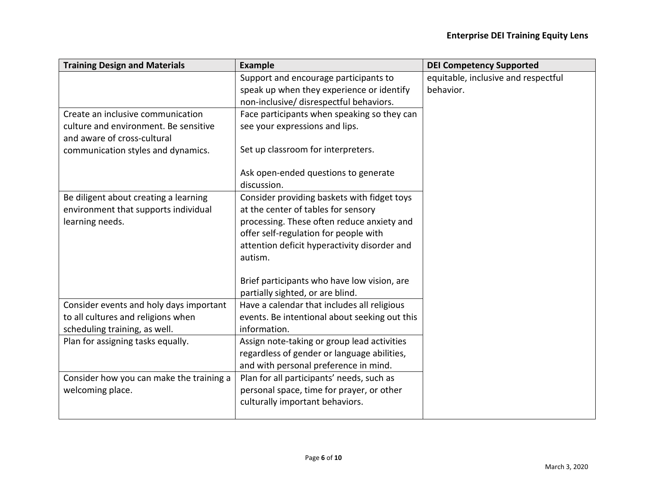| <b>Example</b>                               | <b>DEI Competency Supported</b>                                                                                                                                                                                                                                                                                                                                                                                                                                                                                                                                                                                 |
|----------------------------------------------|-----------------------------------------------------------------------------------------------------------------------------------------------------------------------------------------------------------------------------------------------------------------------------------------------------------------------------------------------------------------------------------------------------------------------------------------------------------------------------------------------------------------------------------------------------------------------------------------------------------------|
| Support and encourage participants to        | equitable, inclusive and respectful                                                                                                                                                                                                                                                                                                                                                                                                                                                                                                                                                                             |
| speak up when they experience or identify    | behavior.                                                                                                                                                                                                                                                                                                                                                                                                                                                                                                                                                                                                       |
| non-inclusive/ disrespectful behaviors.      |                                                                                                                                                                                                                                                                                                                                                                                                                                                                                                                                                                                                                 |
| Face participants when speaking so they can  |                                                                                                                                                                                                                                                                                                                                                                                                                                                                                                                                                                                                                 |
| see your expressions and lips.               |                                                                                                                                                                                                                                                                                                                                                                                                                                                                                                                                                                                                                 |
|                                              |                                                                                                                                                                                                                                                                                                                                                                                                                                                                                                                                                                                                                 |
|                                              |                                                                                                                                                                                                                                                                                                                                                                                                                                                                                                                                                                                                                 |
|                                              |                                                                                                                                                                                                                                                                                                                                                                                                                                                                                                                                                                                                                 |
|                                              |                                                                                                                                                                                                                                                                                                                                                                                                                                                                                                                                                                                                                 |
|                                              |                                                                                                                                                                                                                                                                                                                                                                                                                                                                                                                                                                                                                 |
| at the center of tables for sensory          |                                                                                                                                                                                                                                                                                                                                                                                                                                                                                                                                                                                                                 |
| processing. These often reduce anxiety and   |                                                                                                                                                                                                                                                                                                                                                                                                                                                                                                                                                                                                                 |
| offer self-regulation for people with        |                                                                                                                                                                                                                                                                                                                                                                                                                                                                                                                                                                                                                 |
| attention deficit hyperactivity disorder and |                                                                                                                                                                                                                                                                                                                                                                                                                                                                                                                                                                                                                 |
| autism.                                      |                                                                                                                                                                                                                                                                                                                                                                                                                                                                                                                                                                                                                 |
|                                              |                                                                                                                                                                                                                                                                                                                                                                                                                                                                                                                                                                                                                 |
|                                              |                                                                                                                                                                                                                                                                                                                                                                                                                                                                                                                                                                                                                 |
|                                              |                                                                                                                                                                                                                                                                                                                                                                                                                                                                                                                                                                                                                 |
|                                              |                                                                                                                                                                                                                                                                                                                                                                                                                                                                                                                                                                                                                 |
|                                              |                                                                                                                                                                                                                                                                                                                                                                                                                                                                                                                                                                                                                 |
|                                              |                                                                                                                                                                                                                                                                                                                                                                                                                                                                                                                                                                                                                 |
|                                              |                                                                                                                                                                                                                                                                                                                                                                                                                                                                                                                                                                                                                 |
|                                              |                                                                                                                                                                                                                                                                                                                                                                                                                                                                                                                                                                                                                 |
|                                              |                                                                                                                                                                                                                                                                                                                                                                                                                                                                                                                                                                                                                 |
|                                              |                                                                                                                                                                                                                                                                                                                                                                                                                                                                                                                                                                                                                 |
|                                              |                                                                                                                                                                                                                                                                                                                                                                                                                                                                                                                                                                                                                 |
|                                              |                                                                                                                                                                                                                                                                                                                                                                                                                                                                                                                                                                                                                 |
|                                              | Set up classroom for interpreters.<br>Ask open-ended questions to generate<br>discussion.<br>Consider providing baskets with fidget toys<br>Brief participants who have low vision, are<br>partially sighted, or are blind.<br>Have a calendar that includes all religious<br>events. Be intentional about seeking out this<br>information.<br>Assign note-taking or group lead activities<br>regardless of gender or language abilities,<br>and with personal preference in mind.<br>Plan for all participants' needs, such as<br>personal space, time for prayer, or other<br>culturally important behaviors. |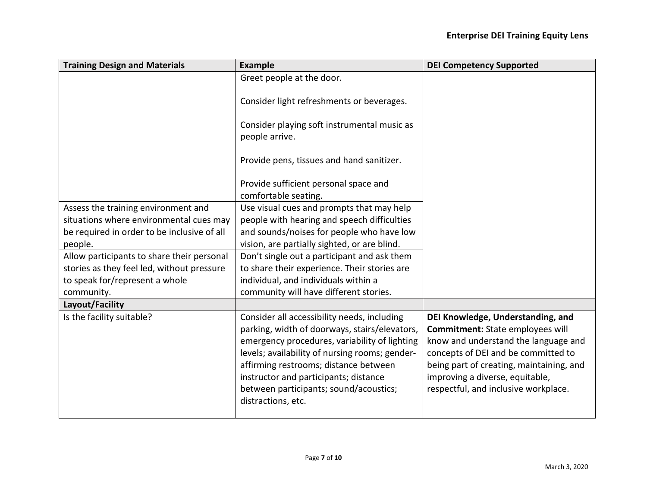| <b>Training Design and Materials</b>        | <b>Example</b>                                                                                                                                                                                                                                                                                                                                    | <b>DEI Competency Supported</b>                                                                                                                                                                                                                                             |
|---------------------------------------------|---------------------------------------------------------------------------------------------------------------------------------------------------------------------------------------------------------------------------------------------------------------------------------------------------------------------------------------------------|-----------------------------------------------------------------------------------------------------------------------------------------------------------------------------------------------------------------------------------------------------------------------------|
|                                             | Greet people at the door.                                                                                                                                                                                                                                                                                                                         |                                                                                                                                                                                                                                                                             |
|                                             | Consider light refreshments or beverages.                                                                                                                                                                                                                                                                                                         |                                                                                                                                                                                                                                                                             |
|                                             | Consider playing soft instrumental music as<br>people arrive.                                                                                                                                                                                                                                                                                     |                                                                                                                                                                                                                                                                             |
|                                             | Provide pens, tissues and hand sanitizer.                                                                                                                                                                                                                                                                                                         |                                                                                                                                                                                                                                                                             |
|                                             | Provide sufficient personal space and                                                                                                                                                                                                                                                                                                             |                                                                                                                                                                                                                                                                             |
|                                             | comfortable seating.                                                                                                                                                                                                                                                                                                                              |                                                                                                                                                                                                                                                                             |
| Assess the training environment and         | Use visual cues and prompts that may help                                                                                                                                                                                                                                                                                                         |                                                                                                                                                                                                                                                                             |
| situations where environmental cues may     | people with hearing and speech difficulties                                                                                                                                                                                                                                                                                                       |                                                                                                                                                                                                                                                                             |
| be required in order to be inclusive of all | and sounds/noises for people who have low                                                                                                                                                                                                                                                                                                         |                                                                                                                                                                                                                                                                             |
| people.                                     | vision, are partially sighted, or are blind.                                                                                                                                                                                                                                                                                                      |                                                                                                                                                                                                                                                                             |
| Allow participants to share their personal  | Don't single out a participant and ask them                                                                                                                                                                                                                                                                                                       |                                                                                                                                                                                                                                                                             |
| stories as they feel led, without pressure  | to share their experience. Their stories are                                                                                                                                                                                                                                                                                                      |                                                                                                                                                                                                                                                                             |
| to speak for/represent a whole              | individual, and individuals within a                                                                                                                                                                                                                                                                                                              |                                                                                                                                                                                                                                                                             |
| community.                                  | community will have different stories.                                                                                                                                                                                                                                                                                                            |                                                                                                                                                                                                                                                                             |
| Layout/Facility                             |                                                                                                                                                                                                                                                                                                                                                   |                                                                                                                                                                                                                                                                             |
| Is the facility suitable?                   | Consider all accessibility needs, including<br>parking, width of doorways, stairs/elevators,<br>emergency procedures, variability of lighting<br>levels; availability of nursing rooms; gender-<br>affirming restrooms; distance between<br>instructor and participants; distance<br>between participants; sound/acoustics;<br>distractions, etc. | DEI Knowledge, Understanding, and<br>Commitment: State employees will<br>know and understand the language and<br>concepts of DEI and be committed to<br>being part of creating, maintaining, and<br>improving a diverse, equitable,<br>respectful, and inclusive workplace. |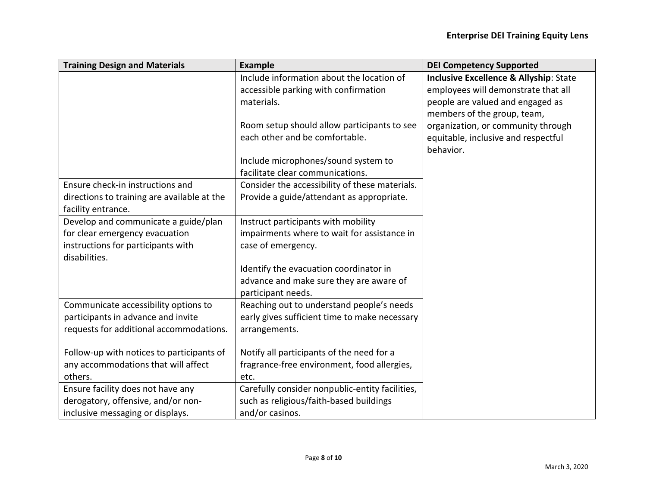| <b>Training Design and Materials</b>        | <b>Example</b>                                  | <b>DEI Competency Supported</b>        |
|---------------------------------------------|-------------------------------------------------|----------------------------------------|
|                                             | Include information about the location of       | Inclusive Excellence & Allyship: State |
|                                             | accessible parking with confirmation            | employees will demonstrate that all    |
|                                             | materials.                                      | people are valued and engaged as       |
|                                             |                                                 | members of the group, team,            |
|                                             | Room setup should allow participants to see     | organization, or community through     |
|                                             | each other and be comfortable.                  | equitable, inclusive and respectful    |
|                                             |                                                 | behavior.                              |
|                                             | Include microphones/sound system to             |                                        |
|                                             | facilitate clear communications.                |                                        |
| Ensure check-in instructions and            | Consider the accessibility of these materials.  |                                        |
| directions to training are available at the | Provide a guide/attendant as appropriate.       |                                        |
| facility entrance.                          |                                                 |                                        |
| Develop and communicate a guide/plan        | Instruct participants with mobility             |                                        |
| for clear emergency evacuation              | impairments where to wait for assistance in     |                                        |
| instructions for participants with          | case of emergency.                              |                                        |
| disabilities.                               |                                                 |                                        |
|                                             | Identify the evacuation coordinator in          |                                        |
|                                             | advance and make sure they are aware of         |                                        |
|                                             | participant needs.                              |                                        |
| Communicate accessibility options to        | Reaching out to understand people's needs       |                                        |
| participants in advance and invite          | early gives sufficient time to make necessary   |                                        |
| requests for additional accommodations.     | arrangements.                                   |                                        |
|                                             |                                                 |                                        |
| Follow-up with notices to participants of   | Notify all participants of the need for a       |                                        |
| any accommodations that will affect         | fragrance-free environment, food allergies,     |                                        |
| others.                                     | etc.                                            |                                        |
| Ensure facility does not have any           | Carefully consider nonpublic-entity facilities, |                                        |
| derogatory, offensive, and/or non-          | such as religious/faith-based buildings         |                                        |
| inclusive messaging or displays.            | and/or casinos.                                 |                                        |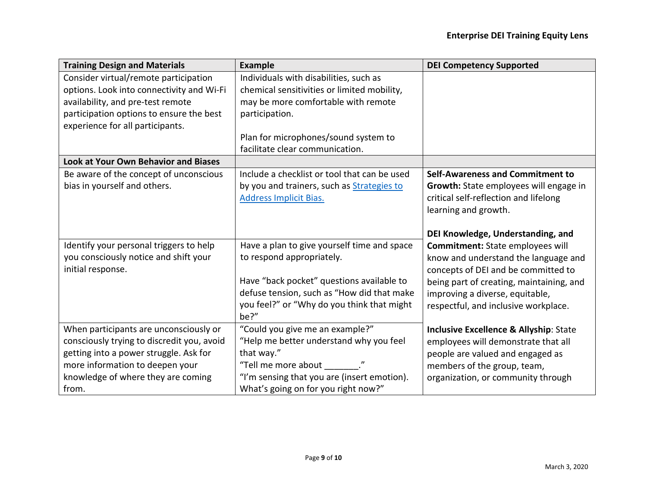| <b>Training Design and Materials</b>                                                                                                                                   | <b>Example</b>                                                                                                                                                                | <b>DEI Competency Supported</b>                                                                                                              |
|------------------------------------------------------------------------------------------------------------------------------------------------------------------------|-------------------------------------------------------------------------------------------------------------------------------------------------------------------------------|----------------------------------------------------------------------------------------------------------------------------------------------|
| Consider virtual/remote participation                                                                                                                                  | Individuals with disabilities, such as                                                                                                                                        |                                                                                                                                              |
| options. Look into connectivity and Wi-Fi                                                                                                                              | chemical sensitivities or limited mobility,                                                                                                                                   |                                                                                                                                              |
| availability, and pre-test remote                                                                                                                                      | may be more comfortable with remote                                                                                                                                           |                                                                                                                                              |
| participation options to ensure the best                                                                                                                               | participation.                                                                                                                                                                |                                                                                                                                              |
| experience for all participants.                                                                                                                                       |                                                                                                                                                                               |                                                                                                                                              |
|                                                                                                                                                                        | Plan for microphones/sound system to                                                                                                                                          |                                                                                                                                              |
|                                                                                                                                                                        | facilitate clear communication.                                                                                                                                               |                                                                                                                                              |
| <b>Look at Your Own Behavior and Biases</b>                                                                                                                            |                                                                                                                                                                               |                                                                                                                                              |
| Be aware of the concept of unconscious                                                                                                                                 | Include a checklist or tool that can be used                                                                                                                                  | Self-Awareness and Commitment to                                                                                                             |
| bias in yourself and others.                                                                                                                                           | by you and trainers, such as <b>Strategies to</b>                                                                                                                             | Growth: State employees will engage in                                                                                                       |
|                                                                                                                                                                        | <b>Address Implicit Bias.</b>                                                                                                                                                 | critical self-reflection and lifelong                                                                                                        |
|                                                                                                                                                                        |                                                                                                                                                                               | learning and growth.                                                                                                                         |
|                                                                                                                                                                        |                                                                                                                                                                               |                                                                                                                                              |
|                                                                                                                                                                        |                                                                                                                                                                               | DEI Knowledge, Understanding, and                                                                                                            |
| Identify your personal triggers to help                                                                                                                                | Have a plan to give yourself time and space                                                                                                                                   | Commitment: State employees will                                                                                                             |
| you consciously notice and shift your                                                                                                                                  | to respond appropriately.                                                                                                                                                     | know and understand the language and                                                                                                         |
| initial response.                                                                                                                                                      |                                                                                                                                                                               | concepts of DEI and be committed to                                                                                                          |
|                                                                                                                                                                        | Have "back pocket" questions available to                                                                                                                                     | being part of creating, maintaining, and                                                                                                     |
|                                                                                                                                                                        | defuse tension, such as "How did that make                                                                                                                                    | improving a diverse, equitable,                                                                                                              |
|                                                                                                                                                                        | you feel?" or "Why do you think that might<br>be?"                                                                                                                            | respectful, and inclusive workplace.                                                                                                         |
|                                                                                                                                                                        | "Could you give me an example?"                                                                                                                                               |                                                                                                                                              |
| When participants are unconsciously or                                                                                                                                 |                                                                                                                                                                               | <b>Inclusive Excellence &amp; Allyship: State</b>                                                                                            |
|                                                                                                                                                                        |                                                                                                                                                                               |                                                                                                                                              |
|                                                                                                                                                                        |                                                                                                                                                                               |                                                                                                                                              |
|                                                                                                                                                                        |                                                                                                                                                                               |                                                                                                                                              |
|                                                                                                                                                                        |                                                                                                                                                                               |                                                                                                                                              |
| consciously trying to discredit you, avoid<br>getting into a power struggle. Ask for<br>more information to deepen your<br>knowledge of where they are coming<br>from. | "Help me better understand why you feel<br>that way."<br>"Tell me more about ________."<br>"I'm sensing that you are (insert emotion).<br>What's going on for you right now?" | employees will demonstrate that all<br>people are valued and engaged as<br>members of the group, team,<br>organization, or community through |